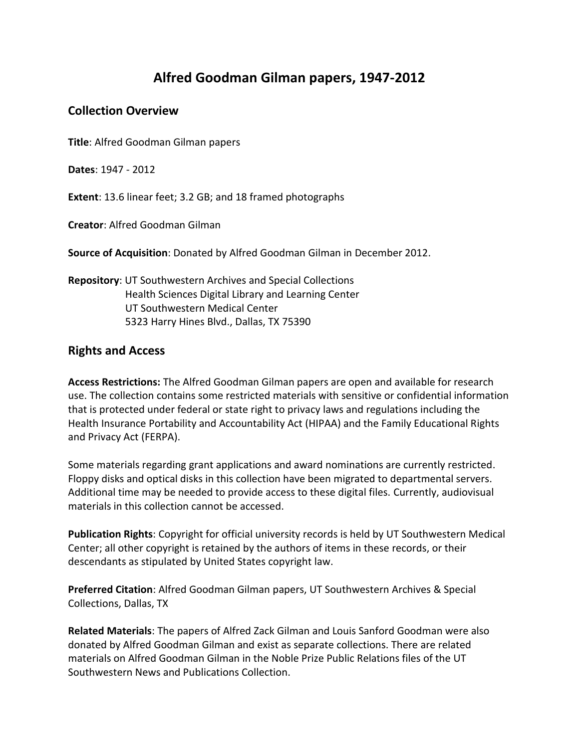# **Alfred Goodman Gilman papers, 1947-2012**

### **Collection Overview**

**Title**: Alfred Goodman Gilman papers

**Dates**: 1947 - 2012

**Extent**: 13.6 linear feet; 3.2 GB; and 18 framed photographs

**Creator**: Alfred Goodman Gilman

**Source of Acquisition**: Donated by Alfred Goodman Gilman in December 2012.

**Repository**: UT Southwestern Archives and Special Collections Health Sciences Digital Library and Learning Center UT Southwestern Medical Center 5323 Harry Hines Blvd., Dallas, TX 75390

### **Rights and Access**

**Access Restrictions:** The Alfred Goodman Gilman papers are open and available for research use. The collection contains some restricted materials with sensitive or confidential information that is protected under federal or state right to privacy laws and regulations including the Health Insurance Portability and Accountability Act (HIPAA) and the Family Educational Rights and Privacy Act (FERPA).

Some materials regarding grant applications and award nominations are currently restricted. Floppy disks and optical disks in this collection have been migrated to departmental servers. Additional time may be needed to provide access to these digital files. Currently, audiovisual materials in this collection cannot be accessed.

**Publication Rights**: Copyright for official university records is held by UT Southwestern Medical Center; all other copyright is retained by the authors of items in these records, or their descendants as stipulated by United States copyright law.

**Preferred Citation**: Alfred Goodman Gilman papers, UT Southwestern Archives & Special Collections, Dallas, TX

**Related Materials**: The papers of Alfred Zack Gilman and Louis Sanford Goodman were also donated by Alfred Goodman Gilman and exist as separate collections. There are related materials on Alfred Goodman Gilman in the Noble Prize Public Relations files of the UT Southwestern News and Publications Collection.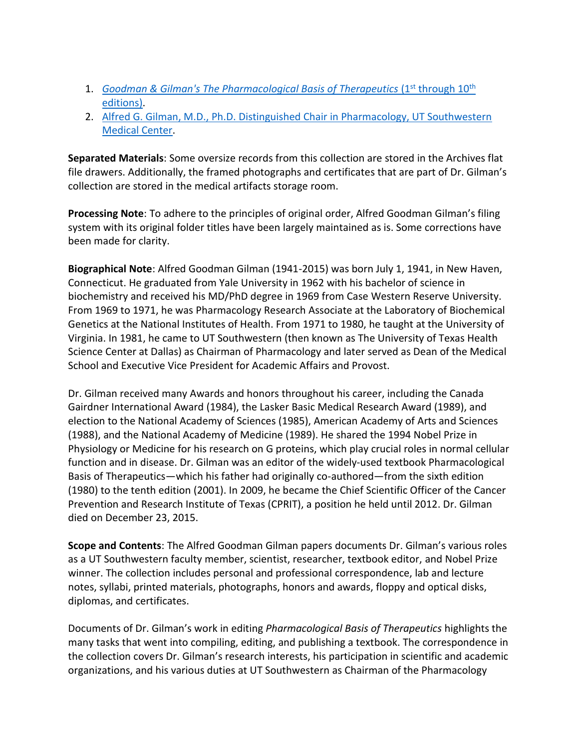- 1. *[Goodman & Gilman's The Pharmacological Basis of Therapeutics](https://utswm.bywatersolutions.com/cgi-bin/koha/opac-search.pl?idx=ti&q=Pharmacological%20Basis%20Therapeutics&sort_by=relevance_dsc&limit=location:ARCHIVES)* (1<sup>st</sup> through 10<sup>th</sup> [editions\).](https://utswm.bywatersolutions.com/cgi-bin/koha/opac-search.pl?idx=ti&q=Pharmacological%20Basis%20Therapeutics&sort_by=relevance_dsc&limit=location:ARCHIVES)
- 2. Alfred [G. Gilman, M.D., Ph.D. Distinguished Chair in Pharmacology, UT Southwestern](https://utswm.bywatersolutions.com/cgi-bin/koha/opac-detail.pl?biblionumber=637477)  [Medical Center.](https://utswm.bywatersolutions.com/cgi-bin/koha/opac-detail.pl?biblionumber=637477)

**Separated Materials**: Some oversize records from this collection are stored in the Archives flat file drawers. Additionally, the framed photographs and certificates that are part of Dr. Gilman's collection are stored in the medical artifacts storage room.

**Processing Note**: To adhere to the principles of original order, Alfred Goodman Gilman's filing system with its original folder titles have been largely maintained as is. Some corrections have been made for clarity.

**Biographical Note**: Alfred Goodman Gilman (1941-2015) was born July 1, 1941, in New Haven, Connecticut. He graduated from Yale University in 1962 with his bachelor of science in biochemistry and received his MD/PhD degree in 1969 from Case Western Reserve University. From 1969 to 1971, he was Pharmacology Research Associate at the Laboratory of Biochemical Genetics at the National Institutes of Health. From 1971 to 1980, he taught at the University of Virginia. In 1981, he came to UT Southwestern (then known as The University of Texas Health Science Center at Dallas) as Chairman of Pharmacology and later served as Dean of the Medical School and Executive Vice President for Academic Affairs and Provost.

Dr. Gilman received many Awards and honors throughout his career, including the Canada Gairdner International Award (1984), the Lasker Basic Medical Research Award (1989), and election to the National Academy of Sciences (1985), American Academy of Arts and Sciences (1988), and the National Academy of Medicine (1989). He shared the 1994 Nobel Prize in Physiology or Medicine for his research on G proteins, which play crucial roles in normal cellular function and in disease. Dr. Gilman was an editor of the widely-used textbook Pharmacological Basis of Therapeutics—which his father had originally co-authored—from the sixth edition (1980) to the tenth edition (2001). In 2009, he became the Chief Scientific Officer of the Cancer Prevention and Research Institute of Texas (CPRIT), a position he held until 2012. Dr. Gilman died on December 23, 2015.

**Scope and Contents**: The Alfred Goodman Gilman papers documents Dr. Gilman's various roles as a UT Southwestern faculty member, scientist, researcher, textbook editor, and Nobel Prize winner. The collection includes personal and professional correspondence, lab and lecture notes, syllabi, printed materials, photographs, honors and awards, floppy and optical disks, diplomas, and certificates.

Documents of Dr. Gilman's work in editing *Pharmacological Basis of Therapeutics* highlights the many tasks that went into compiling, editing, and publishing a textbook. The correspondence in the collection covers Dr. Gilman's research interests, his participation in scientific and academic organizations, and his various duties at UT Southwestern as Chairman of the Pharmacology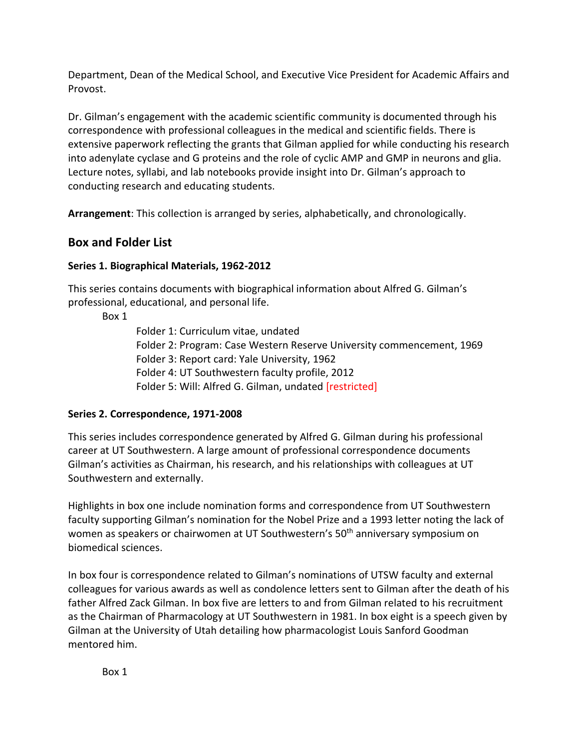Department, Dean of the Medical School, and Executive Vice President for Academic Affairs and Provost.

Dr. Gilman's engagement with the academic scientific community is documented through his correspondence with professional colleagues in the medical and scientific fields. There is extensive paperwork reflecting the grants that Gilman applied for while conducting his research into adenylate cyclase and G proteins and the role of cyclic AMP and GMP in neurons and glia. Lecture notes, syllabi, and lab notebooks provide insight into Dr. Gilman's approach to conducting research and educating students.

**Arrangement**: This collection is arranged by series, alphabetically, and chronologically.

## **Box and Folder List**

### **Series 1. Biographical Materials, 1962-2012**

This series contains documents with biographical information about Alfred G. Gilman's professional, educational, and personal life.

Box 1

Folder 1: Curriculum vitae, undated Folder 2: Program: Case Western Reserve University commencement, 1969 Folder 3: Report card: Yale University, 1962 Folder 4: UT Southwestern faculty profile, 2012 Folder 5: Will: Alfred G. Gilman, undated [restricted]

### **Series 2. Correspondence, 1971-2008**

This series includes correspondence generated by Alfred G. Gilman during his professional career at UT Southwestern. A large amount of professional correspondence documents Gilman's activities as Chairman, his research, and his relationships with colleagues at UT Southwestern and externally.

Highlights in box one include nomination forms and correspondence from UT Southwestern faculty supporting Gilman's nomination for the Nobel Prize and a 1993 letter noting the lack of women as speakers or chairwomen at UT Southwestern's 50<sup>th</sup> anniversary symposium on biomedical sciences.

In box four is correspondence related to Gilman's nominations of UTSW faculty and external colleagues for various awards as well as condolence letters sent to Gilman after the death of his father Alfred Zack Gilman. In box five are letters to and from Gilman related to his recruitment as the Chairman of Pharmacology at UT Southwestern in 1981. In box eight is a speech given by Gilman at the University of Utah detailing how pharmacologist Louis Sanford Goodman mentored him.

Box 1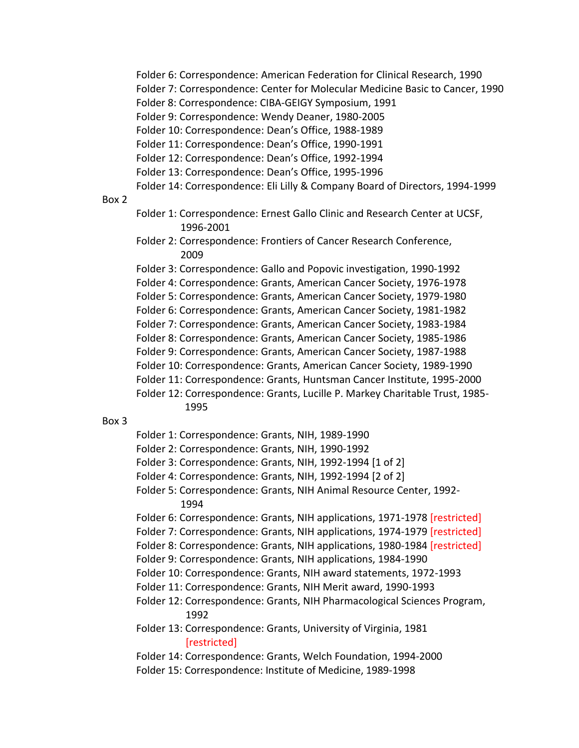Folder 6: Correspondence: American Federation for Clinical Research, 1990

Folder 7: Correspondence: Center for Molecular Medicine Basic to Cancer, 1990

Folder 8: Correspondence: CIBA-GEIGY Symposium, 1991

Folder 9: Correspondence: Wendy Deaner, 1980-2005

Folder 10: Correspondence: Dean's Office, 1988-1989

Folder 11: Correspondence: Dean's Office, 1990-1991

Folder 12: Correspondence: Dean's Office, 1992-1994

Folder 13: Correspondence: Dean's Office, 1995-1996

Folder 14: Correspondence: Eli Lilly & Company Board of Directors, 1994-1999

#### Box 2

- Folder 1: Correspondence: Ernest Gallo Clinic and Research Center at UCSF, 1996-2001
- Folder 2: Correspondence: Frontiers of Cancer Research Conference, 2009

Folder 3: Correspondence: Gallo and Popovic investigation, 1990-1992

Folder 4: Correspondence: Grants, American Cancer Society, 1976-1978

Folder 5: Correspondence: Grants, American Cancer Society, 1979-1980

Folder 6: Correspondence: Grants, American Cancer Society, 1981-1982

Folder 7: Correspondence: Grants, American Cancer Society, 1983-1984

Folder 8: Correspondence: Grants, American Cancer Society, 1985-1986

Folder 9: Correspondence: Grants, American Cancer Society, 1987-1988

Folder 10: Correspondence: Grants, American Cancer Society, 1989-1990

Folder 11: Correspondence: Grants, Huntsman Cancer Institute, 1995-2000

Folder 12: Correspondence: Grants, Lucille P. Markey Charitable Trust, 1985- 1995

#### Box 3

- Folder 1: Correspondence: Grants, NIH, 1989-1990
- Folder 2: Correspondence: Grants, NIH, 1990-1992

Folder 3: Correspondence: Grants, NIH, 1992-1994 [1 of 2]

Folder 4: Correspondence: Grants, NIH, 1992-1994 [2 of 2]

Folder 5: Correspondence: Grants, NIH Animal Resource Center, 1992- 1994

Folder 6: Correspondence: Grants, NIH applications, 1971-1978 [restricted]

Folder 7: Correspondence: Grants, NIH applications, 1974-1979 [restricted]

Folder 8: Correspondence: Grants, NIH applications, 1980-1984 [restricted]

Folder 9: Correspondence: Grants, NIH applications, 1984-1990

- Folder 10: Correspondence: Grants, NIH award statements, 1972-1993
- Folder 11: Correspondence: Grants, NIH Merit award, 1990-1993

Folder 12: Correspondence: Grants, NIH Pharmacological Sciences Program, 1992

- Folder 13: Correspondence: Grants, University of Virginia, 1981 [restricted]
- Folder 14: Correspondence: Grants, Welch Foundation, 1994-2000
- Folder 15: Correspondence: Institute of Medicine, 1989-1998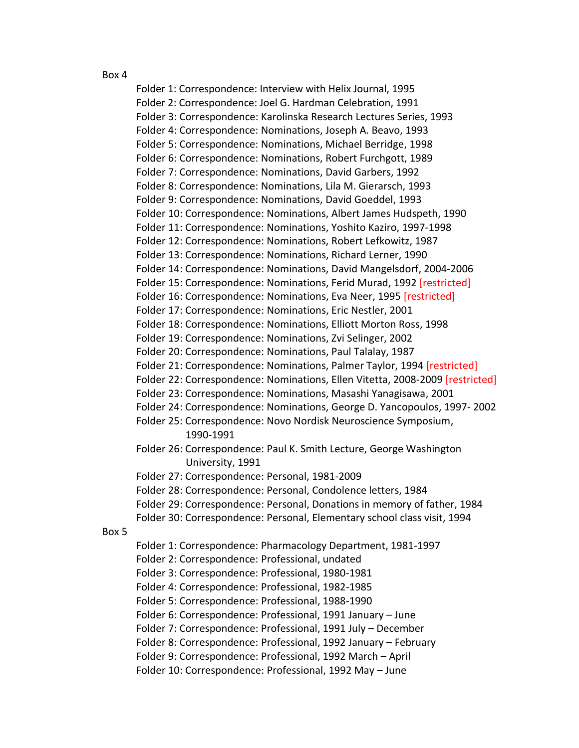#### Box 4

Folder 1: Correspondence: Interview with Helix Journal, 1995 Folder 2: Correspondence: Joel G. Hardman Celebration, 1991 Folder 3: Correspondence: Karolinska Research Lectures Series, 1993 Folder 4: Correspondence: Nominations, Joseph A. Beavo, 1993 Folder 5: Correspondence: Nominations, Michael Berridge, 1998 Folder 6: Correspondence: Nominations, Robert Furchgott, 1989 Folder 7: Correspondence: Nominations, David Garbers, 1992 Folder 8: Correspondence: Nominations, Lila M. Gierarsch, 1993 Folder 9: Correspondence: Nominations, David Goeddel, 1993 Folder 10: Correspondence: Nominations, Albert James Hudspeth, 1990 Folder 11: Correspondence: Nominations, Yoshito Kaziro, 1997-1998 Folder 12: Correspondence: Nominations, Robert Lefkowitz, 1987 Folder 13: Correspondence: Nominations, Richard Lerner, 1990 Folder 14: Correspondence: Nominations, David Mangelsdorf, 2004-2006 Folder 15: Correspondence: Nominations, Ferid Murad, 1992 [restricted] Folder 16: Correspondence: Nominations, Eva Neer, 1995 [restricted] Folder 17: Correspondence: Nominations, Eric Nestler, 2001 Folder 18: Correspondence: Nominations, Elliott Morton Ross, 1998 Folder 19: Correspondence: Nominations, Zvi Selinger, 2002 Folder 20: Correspondence: Nominations, Paul Talalay, 1987 Folder 21: Correspondence: Nominations, Palmer Taylor, 1994 [restricted] Folder 22: Correspondence: Nominations, Ellen Vitetta, 2008-2009 [restricted] Folder 23: Correspondence: Nominations, Masashi Yanagisawa, 2001 Folder 24: Correspondence: Nominations, George D. Yancopoulos, 1997- 2002 Folder 25: Correspondence: Novo Nordisk Neuroscience Symposium, 1990-1991 Folder 26: Correspondence: Paul K. Smith Lecture, George Washington University, 1991 Folder 27: Correspondence: Personal, 1981-2009 Folder 28: Correspondence: Personal, Condolence letters, 1984 Folder 29: Correspondence: Personal, Donations in memory of father, 1984 Folder 30: Correspondence: Personal, Elementary school class visit, 1994 Box 5 Folder 1: Correspondence: Pharmacology Department, 1981-1997 Folder 2: Correspondence: Professional, undated Folder 3: Correspondence: Professional, 1980-1981 Folder 4: Correspondence: Professional, 1982-1985 Folder 5: Correspondence: Professional, 1988-1990 Folder 6: Correspondence: Professional, 1991 January – June Folder 7: Correspondence: Professional, 1991 July – December Folder 8: Correspondence: Professional, 1992 January – February Folder 9: Correspondence: Professional, 1992 March – April Folder 10: Correspondence: Professional, 1992 May – June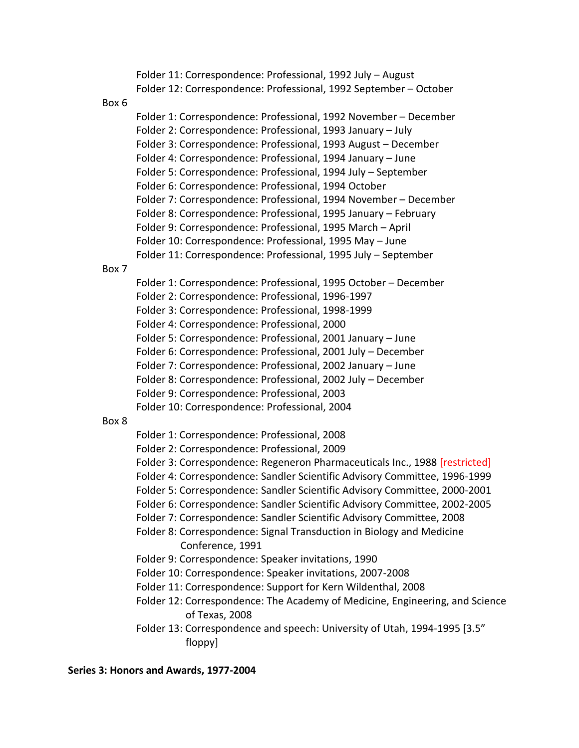Folder 11: Correspondence: Professional, 1992 July – August Folder 12: Correspondence: Professional, 1992 September – October Box 6 Folder 1: Correspondence: Professional, 1992 November – December Folder 2: Correspondence: Professional, 1993 January – July Folder 3: Correspondence: Professional, 1993 August – December Folder 4: Correspondence: Professional, 1994 January – June Folder 5: Correspondence: Professional, 1994 July – September Folder 6: Correspondence: Professional, 1994 October Folder 7: Correspondence: Professional, 1994 November – December Folder 8: Correspondence: Professional, 1995 January – February Folder 9: Correspondence: Professional, 1995 March – April Folder 10: Correspondence: Professional, 1995 May – June Folder 11: Correspondence: Professional, 1995 July – September Box 7 Folder 1: Correspondence: Professional, 1995 October – December Folder 2: Correspondence: Professional, 1996-1997 Folder 3: Correspondence: Professional, 1998-1999 Folder 4: Correspondence: Professional, 2000 Folder 5: Correspondence: Professional, 2001 January – June Folder 6: Correspondence: Professional, 2001 July – December Folder 7: Correspondence: Professional, 2002 January – June Folder 8: Correspondence: Professional, 2002 July – December Folder 9: Correspondence: Professional, 2003 Folder 10: Correspondence: Professional, 2004 Box 8 Folder 1: Correspondence: Professional, 2008 Folder 2: Correspondence: Professional, 2009 Folder 3: Correspondence: Regeneron Pharmaceuticals Inc., 1988 [restricted] Folder 4: Correspondence: Sandler Scientific Advisory Committee, 1996-1999 Folder 5: Correspondence: Sandler Scientific Advisory Committee, 2000-2001 Folder 6: Correspondence: Sandler Scientific Advisory Committee, 2002-2005 Folder 7: Correspondence: Sandler Scientific Advisory Committee, 2008 Folder 8: Correspondence: Signal Transduction in Biology and Medicine Conference, 1991 Folder 9: Correspondence: Speaker invitations, 1990 Folder 10: Correspondence: Speaker invitations, 2007-2008 Folder 11: Correspondence: Support for Kern Wildenthal, 2008 Folder 12: Correspondence: The Academy of Medicine, Engineering, and Science of Texas, 2008 Folder 13: Correspondence and speech: University of Utah, 1994-1995 [3.5" floppy] **Series 3: Honors and Awards, 1977-2004**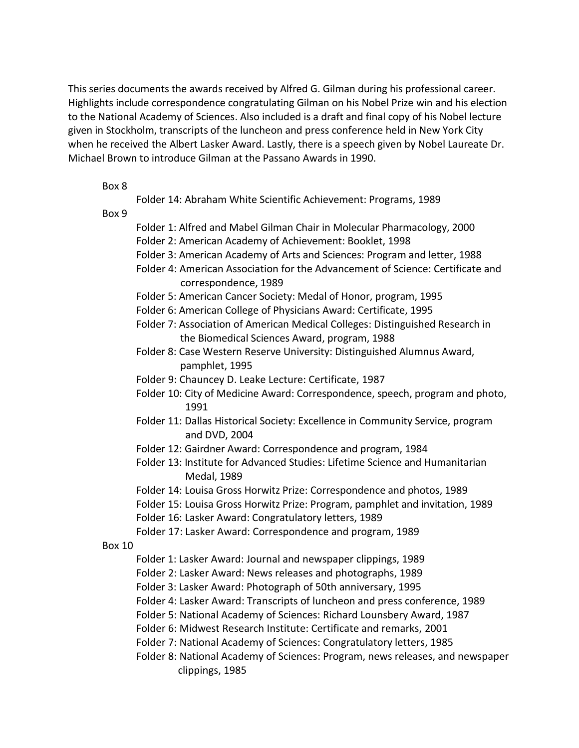This series documents the awards received by Alfred G. Gilman during his professional career. Highlights include correspondence congratulating Gilman on his Nobel Prize win and his election to the National Academy of Sciences. Also included is a draft and final copy of his Nobel lecture given in Stockholm, transcripts of the luncheon and press conference held in New York City when he received the Albert Lasker Award. Lastly, there is a speech given by Nobel Laureate Dr. Michael Brown to introduce Gilman at the Passano Awards in 1990.

#### Box 8

Folder 14: Abraham White Scientific Achievement: Programs, 1989

Box 9

- Folder 1: Alfred and Mabel Gilman Chair in Molecular Pharmacology, 2000 Folder 2: American Academy of Achievement: Booklet, 1998
- Folder 3: American Academy of Arts and Sciences: Program and letter, 1988
- Folder 4: American Association for the Advancement of Science: Certificate and correspondence, 1989
- Folder 5: American Cancer Society: Medal of Honor, program, 1995
- Folder 6: American College of Physicians Award: Certificate, 1995
- Folder 7: Association of American Medical Colleges: Distinguished Research in the Biomedical Sciences Award, program, 1988
- Folder 8: Case Western Reserve University: Distinguished Alumnus Award, pamphlet, 1995
- Folder 9: Chauncey D. Leake Lecture: Certificate, 1987
- Folder 10: City of Medicine Award: Correspondence, speech, program and photo, 1991
- Folder 11: Dallas Historical Society: Excellence in Community Service, program and DVD, 2004
- Folder 12: Gairdner Award: Correspondence and program, 1984
- Folder 13: Institute for Advanced Studies: Lifetime Science and Humanitarian Medal, 1989
- Folder 14: Louisa Gross Horwitz Prize: Correspondence and photos, 1989
- Folder 15: Louisa Gross Horwitz Prize: Program, pamphlet and invitation, 1989
- Folder 16: Lasker Award: Congratulatory letters, 1989
- Folder 17: Lasker Award: Correspondence and program, 1989
- Box 10
	- Folder 1: Lasker Award: Journal and newspaper clippings, 1989
	- Folder 2: Lasker Award: News releases and photographs, 1989
	- Folder 3: Lasker Award: Photograph of 50th anniversary, 1995
	- Folder 4: Lasker Award: Transcripts of luncheon and press conference, 1989
	- Folder 5: National Academy of Sciences: Richard Lounsbery Award, 1987
	- Folder 6: Midwest Research Institute: Certificate and remarks, 2001
	- Folder 7: National Academy of Sciences: Congratulatory letters, 1985
	- Folder 8: National Academy of Sciences: Program, news releases, and newspaper clippings, 1985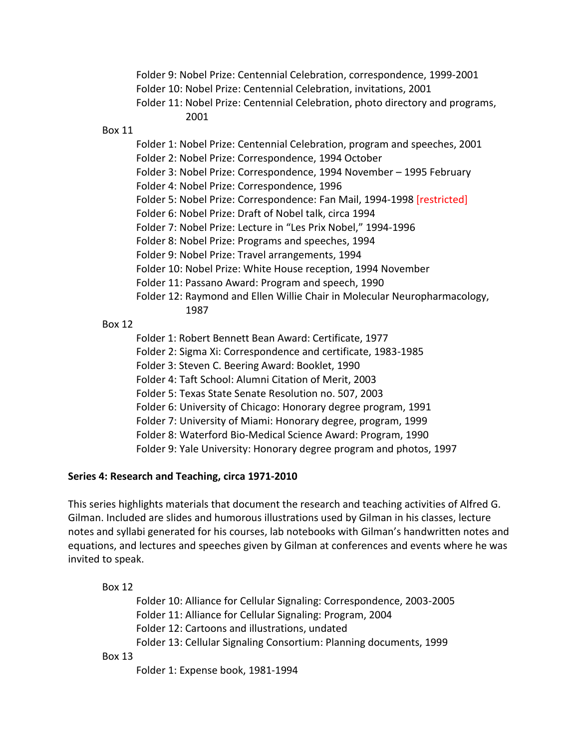Folder 9: Nobel Prize: Centennial Celebration, correspondence, 1999-2001 Folder 10: Nobel Prize: Centennial Celebration, invitations, 2001 Folder 11: Nobel Prize: Centennial Celebration, photo directory and programs, 2001

Box 11

Folder 1: Nobel Prize: Centennial Celebration, program and speeches, 2001 Folder 2: Nobel Prize: Correspondence, 1994 October

Folder 3: Nobel Prize: Correspondence, 1994 November – 1995 February

Folder 4: Nobel Prize: Correspondence, 1996

Folder 5: Nobel Prize: Correspondence: Fan Mail, 1994-1998 [restricted]

Folder 6: Nobel Prize: Draft of Nobel talk, circa 1994

Folder 7: Nobel Prize: Lecture in "Les Prix Nobel," 1994-1996

Folder 8: Nobel Prize: Programs and speeches, 1994

Folder 9: Nobel Prize: Travel arrangements, 1994

Folder 10: Nobel Prize: White House reception, 1994 November

Folder 11: Passano Award: Program and speech, 1990

Folder 12: Raymond and Ellen Willie Chair in Molecular Neuropharmacology, 1987

### Box 12

Folder 1: Robert Bennett Bean Award: Certificate, 1977 Folder 2: Sigma Xi: Correspondence and certificate, 1983-1985 Folder 3: Steven C. Beering Award: Booklet, 1990 Folder 4: Taft School: Alumni Citation of Merit, 2003 Folder 5: Texas State Senate Resolution no. 507, 2003 Folder 6: University of Chicago: Honorary degree program, 1991 Folder 7: University of Miami: Honorary degree, program, 1999 Folder 8: Waterford Bio-Medical Science Award: Program, 1990

Folder 9: Yale University: Honorary degree program and photos, 1997

### **Series 4: Research and Teaching, circa 1971-2010**

This series highlights materials that document the research and teaching activities of Alfred G. Gilman. Included are slides and humorous illustrations used by Gilman in his classes, lecture notes and syllabi generated for his courses, lab notebooks with Gilman's handwritten notes and equations, and lectures and speeches given by Gilman at conferences and events where he was invited to speak.

Box 12

Folder 10: Alliance for Cellular Signaling: Correspondence, 2003-2005 Folder 11: Alliance for Cellular Signaling: Program, 2004 Folder 12: Cartoons and illustrations, undated Folder 13: Cellular Signaling Consortium: Planning documents, 1999

Box 13

Folder 1: Expense book, 1981-1994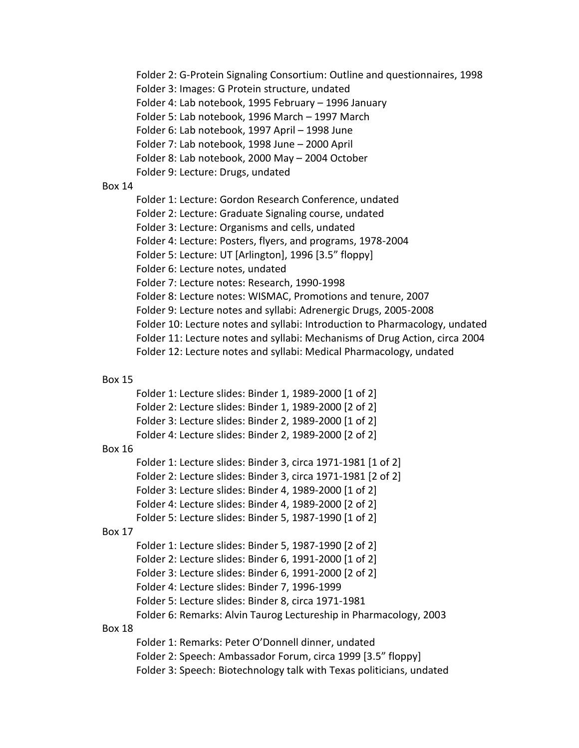Folder 2: G-Protein Signaling Consortium: Outline and questionnaires, 1998 Folder 3: Images: G Protein structure, undated Folder 4: Lab notebook, 1995 February – 1996 January Folder 5: Lab notebook, 1996 March – 1997 March Folder 6: Lab notebook, 1997 April – 1998 June Folder 7: Lab notebook, 1998 June – 2000 April Folder 8: Lab notebook, 2000 May – 2004 October Folder 9: Lecture: Drugs, undated Box 14 Folder 1: Lecture: Gordon Research Conference, undated Folder 2: Lecture: Graduate Signaling course, undated Folder 3: Lecture: Organisms and cells, undated Folder 4: Lecture: Posters, flyers, and programs, 1978-2004 Folder 5: Lecture: UT [Arlington], 1996 [3.5" floppy] Folder 6: Lecture notes, undated Folder 7: Lecture notes: Research, 1990-1998 Folder 8: Lecture notes: WISMAC, Promotions and tenure, 2007 Folder 9: Lecture notes and syllabi: Adrenergic Drugs, 2005-2008 Folder 10: Lecture notes and syllabi: Introduction to Pharmacology, undated Folder 11: Lecture notes and syllabi: Mechanisms of Drug Action, circa 2004 Folder 12: Lecture notes and syllabi: Medical Pharmacology, undated Box 15 Folder 1: Lecture slides: Binder 1, 1989-2000 [1 of 2] Folder 2: Lecture slides: Binder 1, 1989-2000 [2 of 2] Folder 3: Lecture slides: Binder 2, 1989-2000 [1 of 2] Folder 4: Lecture slides: Binder 2, 1989-2000 [2 of 2] Box 16 Folder 1: Lecture slides: Binder 3, circa 1971-1981 [1 of 2] Folder 2: Lecture slides: Binder 3, circa 1971-1981 [2 of 2] Folder 3: Lecture slides: Binder 4, 1989-2000 [1 of 2] Folder 4: Lecture slides: Binder 4, 1989-2000 [2 of 2] Folder 5: Lecture slides: Binder 5, 1987-1990 [1 of 2] Box 17 Folder 1: Lecture slides: Binder 5, 1987-1990 [2 of 2] Folder 2: Lecture slides: Binder 6, 1991-2000 [1 of 2] Folder 3: Lecture slides: Binder 6, 1991-2000 [2 of 2] Folder 4: Lecture slides: Binder 7, 1996-1999 Folder 5: Lecture slides: Binder 8, circa 1971-1981 Folder 6: Remarks: Alvin Taurog Lectureship in Pharmacology, 2003 Box 18 Folder 1: Remarks: Peter O'Donnell dinner, undated Folder 2: Speech: Ambassador Forum, circa 1999 [3.5" floppy] Folder 3: Speech: Biotechnology talk with Texas politicians, undated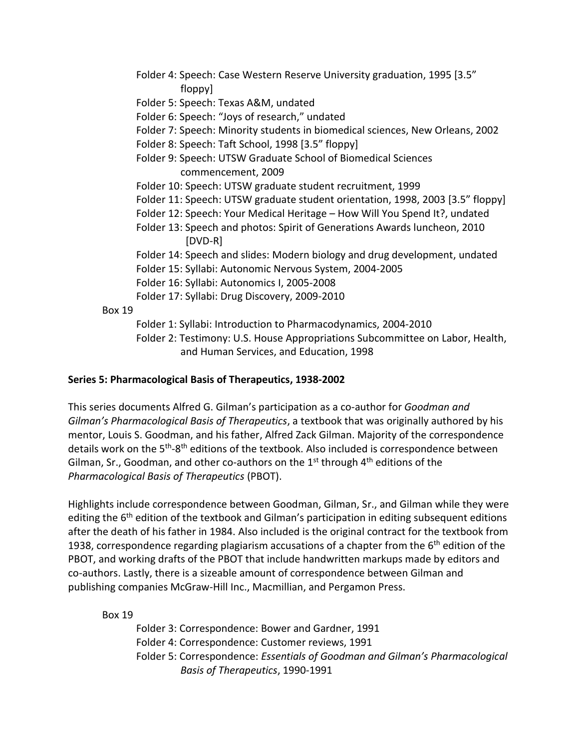- Folder 4: Speech: Case Western Reserve University graduation, 1995 [3.5" floppy]
- Folder 5: Speech: Texas A&M, undated
- Folder 6: Speech: "Joys of research," undated
- Folder 7: Speech: Minority students in biomedical sciences, New Orleans, 2002
- Folder 8: Speech: Taft School, 1998 [3.5" floppy]
- Folder 9: Speech: UTSW Graduate School of Biomedical Sciences commencement, 2009
- Folder 10: Speech: UTSW graduate student recruitment, 1999
- Folder 11: Speech: UTSW graduate student orientation, 1998, 2003 [3.5" floppy]
- Folder 12: Speech: Your Medical Heritage How Will You Spend It?, undated
- Folder 13: Speech and photos: Spirit of Generations Awards luncheon, 2010 [DVD-R]
- Folder 14: Speech and slides: Modern biology and drug development, undated
- Folder 15: Syllabi: Autonomic Nervous System, 2004-2005
- Folder 16: Syllabi: Autonomics I, 2005-2008
- Folder 17: Syllabi: Drug Discovery, 2009-2010
- Box 19
	- Folder 1: Syllabi: Introduction to Pharmacodynamics, 2004-2010
	- Folder 2: Testimony: U.S. House Appropriations Subcommittee on Labor, Health, and Human Services, and Education, 1998

### **Series 5: Pharmacological Basis of Therapeutics, 1938-2002**

This series documents Alfred G. Gilman's participation as a co-author for *Goodman and Gilman's Pharmacological Basis of Therapeutics*, a textbook that was originally authored by his mentor, Louis S. Goodman, and his father, Alfred Zack Gilman. Majority of the correspondence details work on the 5<sup>th</sup>-8<sup>th</sup> editions of the textbook. Also included is correspondence between Gilman, Sr., Goodman, and other co-authors on the  $1<sup>st</sup>$  through  $4<sup>th</sup>$  editions of the *Pharmacological Basis of Therapeutics* (PBOT).

Highlights include correspondence between Goodman, Gilman, Sr., and Gilman while they were editing the  $6<sup>th</sup>$  edition of the textbook and Gilman's participation in editing subsequent editions after the death of his father in 1984. Also included is the original contract for the textbook from 1938, correspondence regarding plagiarism accusations of a chapter from the 6<sup>th</sup> edition of the PBOT, and working drafts of the PBOT that include handwritten markups made by editors and co-authors. Lastly, there is a sizeable amount of correspondence between Gilman and publishing companies McGraw-Hill Inc., Macmillian, and Pergamon Press.

Box 19

Folder 3: Correspondence: Bower and Gardner, 1991 Folder 4: Correspondence: Customer reviews, 1991 Folder 5: Correspondence: *Essentials of Goodman and Gilman's Pharmacological Basis of Therapeutics*, 1990-1991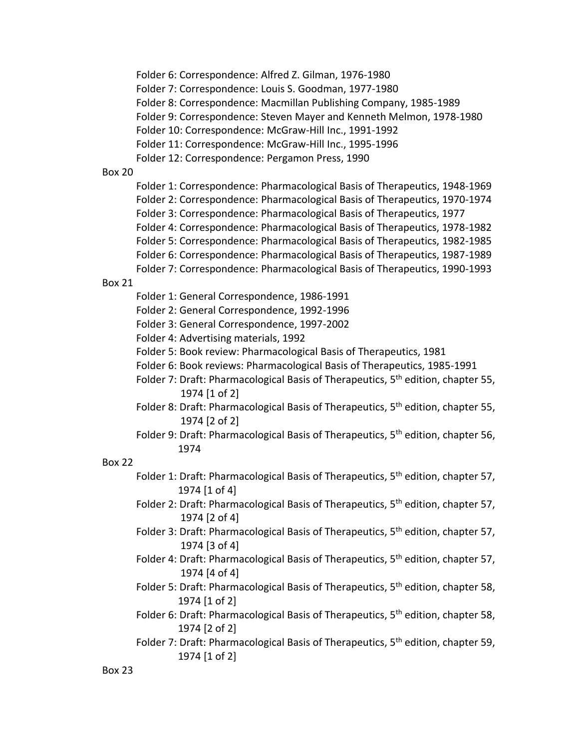Folder 6: Correspondence: Alfred Z. Gilman, 1976-1980

Folder 7: Correspondence: Louis S. Goodman, 1977-1980

Folder 8: Correspondence: Macmillan Publishing Company, 1985-1989

Folder 9: Correspondence: Steven Mayer and Kenneth Melmon, 1978-1980

Folder 10: Correspondence: McGraw-Hill Inc., 1991-1992

Folder 11: Correspondence: McGraw-Hill Inc., 1995-1996

Box 20

Folder 1: Correspondence: Pharmacological Basis of Therapeutics, 1948-1969 Folder 2: Correspondence: Pharmacological Basis of Therapeutics, 1970-1974 Folder 3: Correspondence: Pharmacological Basis of Therapeutics, 1977 Folder 4: Correspondence: Pharmacological Basis of Therapeutics, 1978-1982 Folder 5: Correspondence: Pharmacological Basis of Therapeutics, 1982-1985 Folder 6: Correspondence: Pharmacological Basis of Therapeutics, 1987-1989 Folder 7: Correspondence: Pharmacological Basis of Therapeutics, 1990-1993

### Box 21

Folder 1: General Correspondence, 1986-1991

Folder 2: General Correspondence, 1992-1996

Folder 3: General Correspondence, 1997-2002

Folder 4: Advertising materials, 1992

Folder 5: Book review: Pharmacological Basis of Therapeutics, 1981

- Folder 6: Book reviews: Pharmacological Basis of Therapeutics, 1985-1991
- Folder 7: Draft: Pharmacological Basis of Therapeutics, 5<sup>th</sup> edition, chapter 55, 1974 [1 of 2]
- Folder 8: Draft: Pharmacological Basis of Therapeutics, 5<sup>th</sup> edition, chapter 55, 1974 [2 of 2]
- Folder 9: Draft: Pharmacological Basis of Therapeutics, 5<sup>th</sup> edition, chapter 56, 1974

### Box 22

- Folder 1: Draft: Pharmacological Basis of Therapeutics,  $5<sup>th</sup>$  edition, chapter 57, 1974 [1 of 4]
- Folder 2: Draft: Pharmacological Basis of Therapeutics,  $5<sup>th</sup>$  edition, chapter 57, 1974 [2 of 4]
- Folder 3: Draft: Pharmacological Basis of Therapeutics,  $5<sup>th</sup>$  edition, chapter 57, 1974 [3 of 4]
- Folder 4: Draft: Pharmacological Basis of Therapeutics,  $5<sup>th</sup>$  edition, chapter 57, 1974 [4 of 4]
- Folder 5: Draft: Pharmacological Basis of Therapeutics,  $5<sup>th</sup>$  edition, chapter 58, 1974 [1 of 2]
- Folder 6: Draft: Pharmacological Basis of Therapeutics, 5<sup>th</sup> edition, chapter 58, 1974 [2 of 2]
- Folder 7: Draft: Pharmacological Basis of Therapeutics, 5<sup>th</sup> edition, chapter 59, 1974 [1 of 2]

Folder 12: Correspondence: Pergamon Press, 1990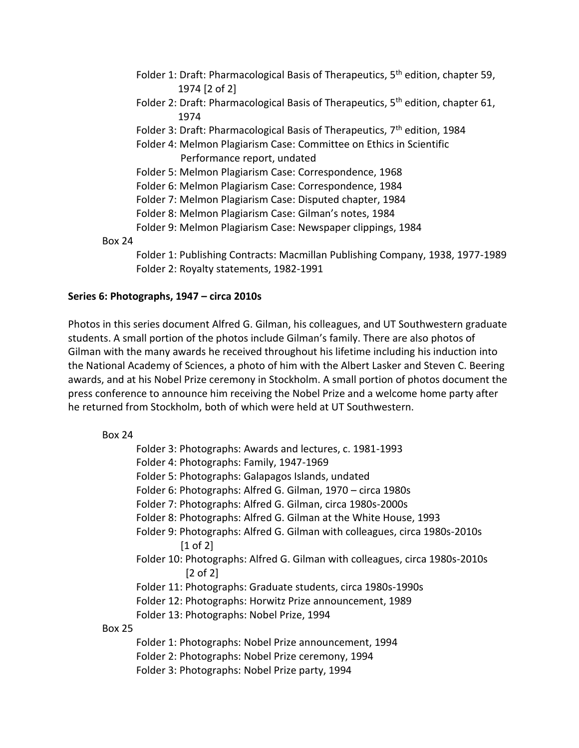- Folder 1: Draft: Pharmacological Basis of Therapeutics,  $5<sup>th</sup>$  edition, chapter 59, 1974 [2 of 2]
- Folder 2: Draft: Pharmacological Basis of Therapeutics,  $5<sup>th</sup>$  edition, chapter 61, 1974
- Folder 3: Draft: Pharmacological Basis of Therapeutics,  $7<sup>th</sup>$  edition, 1984
- Folder 4: Melmon Plagiarism Case: Committee on Ethics in Scientific Performance report, undated
- Folder 5: Melmon Plagiarism Case: Correspondence, 1968

Folder 6: Melmon Plagiarism Case: Correspondence, 1984

- Folder 7: Melmon Plagiarism Case: Disputed chapter, 1984
- Folder 8: Melmon Plagiarism Case: Gilman's notes, 1984
- Folder 9: Melmon Plagiarism Case: Newspaper clippings, 1984

Box 24

Folder 1: Publishing Contracts: Macmillan Publishing Company, 1938, 1977-1989 Folder 2: Royalty statements, 1982-1991

### **Series 6: Photographs, 1947 – circa 2010s**

Photos in this series document Alfred G. Gilman, his colleagues, and UT Southwestern graduate students. A small portion of the photos include Gilman's family. There are also photos of Gilman with the many awards he received throughout his lifetime including his induction into the National Academy of Sciences, a photo of him with the Albert Lasker and Steven C. Beering awards, and at his Nobel Prize ceremony in Stockholm. A small portion of photos document the press conference to announce him receiving the Nobel Prize and a welcome home party after he returned from Stockholm, both of which were held at UT Southwestern.

### Box 24 Folder 3: Photographs: Awards and lectures, c. 1981-1993 Folder 4: Photographs: Family, 1947-1969 Folder 5: Photographs: Galapagos Islands, undated Folder 6: Photographs: Alfred G. Gilman, 1970 – circa 1980s Folder 7: Photographs: Alfred G. Gilman, circa 1980s-2000s Folder 8: Photographs: Alfred G. Gilman at the White House, 1993 Folder 9: Photographs: Alfred G. Gilman with colleagues, circa 1980s-2010s [1 of 2] Folder 10: Photographs: Alfred G. Gilman with colleagues, circa 1980s-2010s [2 of 2] Folder 11: Photographs: Graduate students, circa 1980s-1990s Folder 12: Photographs: Horwitz Prize announcement, 1989 Folder 13: Photographs: Nobel Prize, 1994 Box 25 Folder 1: Photographs: Nobel Prize announcement, 1994 Folder 2: Photographs: Nobel Prize ceremony, 1994 Folder 3: Photographs: Nobel Prize party, 1994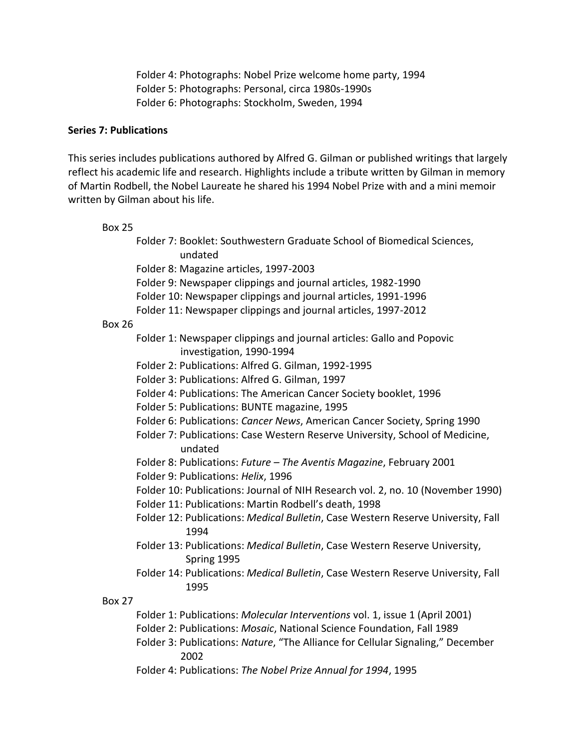Folder 4: Photographs: Nobel Prize welcome home party, 1994 Folder 5: Photographs: Personal, circa 1980s-1990s Folder 6: Photographs: Stockholm, Sweden, 1994

#### **Series 7: Publications**

This series includes publications authored by Alfred G. Gilman or published writings that largely reflect his academic life and research. Highlights include a tribute written by Gilman in memory of Martin Rodbell, the Nobel Laureate he shared his 1994 Nobel Prize with and a mini memoir written by Gilman about his life.

#### Box 25

Folder 7: Booklet: Southwestern Graduate School of Biomedical Sciences, undated Folder 8: Magazine articles, 1997-2003 Folder 9: Newspaper clippings and journal articles, 1982-1990 Folder 10: Newspaper clippings and journal articles, 1991-1996 Folder 11: Newspaper clippings and journal articles, 1997-2012 Box 26 Folder 1: Newspaper clippings and journal articles: Gallo and Popovic investigation, 1990-1994 Folder 2: Publications: Alfred G. Gilman, 1992-1995 Folder 3: Publications: Alfred G. Gilman, 1997 Folder 4: Publications: The American Cancer Society booklet, 1996 Folder 5: Publications: BUNTE magazine, 1995 Folder 6: Publications: *Cancer News*, American Cancer Society, Spring 1990 Folder 7: Publications: Case Western Reserve University, School of Medicine, undated Folder 8: Publications: *Future – The Aventis Magazine*, February 2001 Folder 9: Publications: *Helix*, 1996 Folder 10: Publications: Journal of NIH Research vol. 2, no. 10 (November 1990) Folder 11: Publications: Martin Rodbell's death, 1998 Folder 12: Publications: *Medical Bulletin*, Case Western Reserve University, Fall 1994 Folder 13: Publications: *Medical Bulletin*, Case Western Reserve University, Spring 1995 Folder 14: Publications: *Medical Bulletin*, Case Western Reserve University, Fall 1995 Box 27 Folder 1: Publications: *Molecular Interventions* vol. 1, issue 1 (April 2001) Folder 2: Publications: *Mosaic*, National Science Foundation, Fall 1989 Folder 3: Publications: *Nature*, "The Alliance for Cellular Signaling," December 2002

Folder 4: Publications: *The Nobel Prize Annual for 1994*, 1995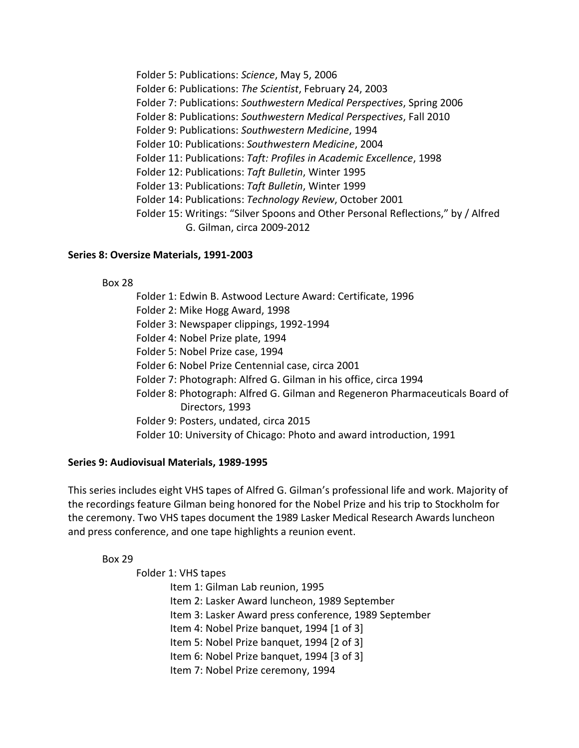Folder 5: Publications: *Science*, May 5, 2006 Folder 6: Publications: *The Scientist*, February 24, 2003 Folder 7: Publications: *Southwestern Medical Perspectives*, Spring 2006 Folder 8: Publications: *Southwestern Medical Perspectives*, Fall 2010 Folder 9: Publications: *Southwestern Medicine*, 1994 Folder 10: Publications: *Southwestern Medicine*, 2004 Folder 11: Publications: *Taft: Profiles in Academic Excellence*, 1998 Folder 12: Publications: *Taft Bulletin*, Winter 1995 Folder 13: Publications: *Taft Bulletin*, Winter 1999 Folder 14: Publications: *Technology Review*, October 2001 Folder 15: Writings: "Silver Spoons and Other Personal Reflections," by / Alfred G. Gilman, circa 2009-2012

### **Series 8: Oversize Materials, 1991-2003**

Box 28

Folder 1: Edwin B. Astwood Lecture Award: Certificate, 1996 Folder 2: Mike Hogg Award, 1998

Folder 3: Newspaper clippings, 1992-1994

Folder 4: Nobel Prize plate, 1994

Folder 5: Nobel Prize case, 1994

Folder 6: Nobel Prize Centennial case, circa 2001

Folder 7: Photograph: Alfred G. Gilman in his office, circa 1994

Folder 8: Photograph: Alfred G. Gilman and Regeneron Pharmaceuticals Board of Directors, 1993

Folder 9: Posters, undated, circa 2015

Folder 10: University of Chicago: Photo and award introduction, 1991

### **Series 9: Audiovisual Materials, 1989-1995**

This series includes eight VHS tapes of Alfred G. Gilman's professional life and work. Majority of the recordings feature Gilman being honored for the Nobel Prize and his trip to Stockholm for the ceremony. Two VHS tapes document the 1989 Lasker Medical Research Awards luncheon and press conference, and one tape highlights a reunion event.

### Box 29

Folder 1: VHS tapes

Item 1: Gilman Lab reunion, 1995 Item 2: Lasker Award luncheon, 1989 September Item 3: Lasker Award press conference, 1989 September Item 4: Nobel Prize banquet, 1994 [1 of 3] Item 5: Nobel Prize banquet, 1994 [2 of 3] Item 6: Nobel Prize banquet, 1994 [3 of 3] Item 7: Nobel Prize ceremony, 1994